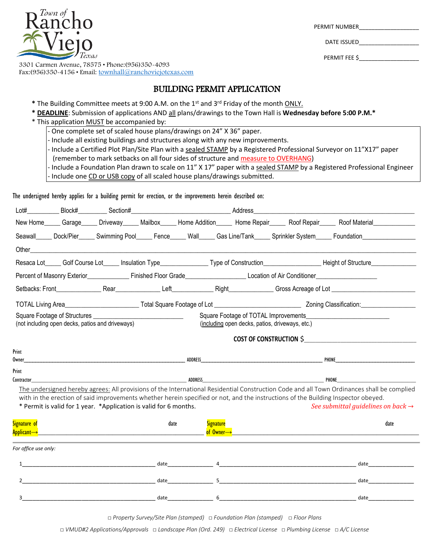$T$ own of

3301 Carmen Avenue, 78575 • Phone:(956)350-4093 Fax:(956)350-4156 • Email: [townhall@ranchoviejotexas.com](mailto:townhall@ranchoviejotexas.com)

# BUILDING PERMIT APPLICATION

- **\*** The Building Committee meets at 9:00 A.M. on the 1st and 3rd Friday of the month ONLY.
- **\* DEADLINE**: Submission of applications AND all plans/drawings to the Town Hall is **Wednesday before 5:00 P.M.\***
- \* This application MUST be accompanied by:
	- One complete set of scaled house plans/drawings on 24" X 36" paper.
	- Include all existing buildings and structures along with any new improvements.
	- Include a Certified Plot Plan/Site Plan with a sealed STAMP by a Registered Professional Surveyor on 11"X17" paper
	- (remember to mark setbacks on all four sides of structure and measure to OVERHANG)
	- Include a Foundation Plan drawn to scale on 11" X 17" paper with a sealed STAMP by a Registered Professional Engineer - Include one CD or USB copy of all scaled house plans/drawings submitted.

The undersigned hereby applies for a building permit for erection, or the improvements herein described on:

| New Home______ Garage______ Driveway______ Mailbox______ Home Addition______ Home Repair______ Roof Repair______ Roof Material____________<br>Seawall_____ Dock/Pier_____ Swimming Pool_____ Fence_____ Wall_____ Gas Line/Tank_____ Sprinkler System_____ Foundation_______________<br>Other<br>Percent of Masonry Exterior <b>Exterior</b> Einished Floor Grade <b>Manual Control Location of Air Conditioner Conditioner</b><br>Square Footage of TOTAL Improvements<br>(not including open decks, patios and driveways)<br>(including open decks, patios, driveways, etc.)<br><b>COST OF CONSTRUCTION \$</b><br>ADDRESS<br>PHONE<br>ADDRESS<br>PHONE<br>The undersigned hereby agrees: All provisions of the International Residential Construction Code and all Town Ordinances shall be complied<br>with in the erection of said improvements whether herein specified or not, and the instructions of the Building Inspector obeyed.<br>* Permit is valid for 1 year. * Application is valid for 6 months.<br><b>Signature</b><br>date<br>date<br><mark>of Owner→</mark> the company of the company of the company of the company of the company of the company of the company<br>date and the state of the state of the state of the state of the state of the state of the state of the state<br>date<br>date and the state of the state of the state of the state of the state of the state of the state of the state<br>date<br>date and the state of the state of the state of the state of the state of the state of the state of the state<br>date | Lot#                                           | Block#_ | ____________Section#_ |  |  | Address |  |  |  |
|------------------------------------------------------------------------------------------------------------------------------------------------------------------------------------------------------------------------------------------------------------------------------------------------------------------------------------------------------------------------------------------------------------------------------------------------------------------------------------------------------------------------------------------------------------------------------------------------------------------------------------------------------------------------------------------------------------------------------------------------------------------------------------------------------------------------------------------------------------------------------------------------------------------------------------------------------------------------------------------------------------------------------------------------------------------------------------------------------------------------------------------------------------------------------------------------------------------------------------------------------------------------------------------------------------------------------------------------------------------------------------------------------------------------------------------------------------------------------------------------------------------------------------------------------------------|------------------------------------------------|---------|-----------------------|--|--|---------|--|--|--|
| Print<br>Owner<br>Print<br>Contractor_<br>Signature of<br><mark>Applicant→</mark> _<br>For office use only:                                                                                                                                                                                                                                                                                                                                                                                                                                                                                                                                                                                                                                                                                                                                                                                                                                                                                                                                                                                                                                                                                                                                                                                                                                                                                                                                                                                                                                                      |                                                |         |                       |  |  |         |  |  |  |
|                                                                                                                                                                                                                                                                                                                                                                                                                                                                                                                                                                                                                                                                                                                                                                                                                                                                                                                                                                                                                                                                                                                                                                                                                                                                                                                                                                                                                                                                                                                                                                  |                                                |         |                       |  |  |         |  |  |  |
|                                                                                                                                                                                                                                                                                                                                                                                                                                                                                                                                                                                                                                                                                                                                                                                                                                                                                                                                                                                                                                                                                                                                                                                                                                                                                                                                                                                                                                                                                                                                                                  |                                                |         |                       |  |  |         |  |  |  |
|                                                                                                                                                                                                                                                                                                                                                                                                                                                                                                                                                                                                                                                                                                                                                                                                                                                                                                                                                                                                                                                                                                                                                                                                                                                                                                                                                                                                                                                                                                                                                                  |                                                |         |                       |  |  |         |  |  |  |
|                                                                                                                                                                                                                                                                                                                                                                                                                                                                                                                                                                                                                                                                                                                                                                                                                                                                                                                                                                                                                                                                                                                                                                                                                                                                                                                                                                                                                                                                                                                                                                  |                                                |         |                       |  |  |         |  |  |  |
|                                                                                                                                                                                                                                                                                                                                                                                                                                                                                                                                                                                                                                                                                                                                                                                                                                                                                                                                                                                                                                                                                                                                                                                                                                                                                                                                                                                                                                                                                                                                                                  |                                                |         |                       |  |  |         |  |  |  |
|                                                                                                                                                                                                                                                                                                                                                                                                                                                                                                                                                                                                                                                                                                                                                                                                                                                                                                                                                                                                                                                                                                                                                                                                                                                                                                                                                                                                                                                                                                                                                                  |                                                |         |                       |  |  |         |  |  |  |
|                                                                                                                                                                                                                                                                                                                                                                                                                                                                                                                                                                                                                                                                                                                                                                                                                                                                                                                                                                                                                                                                                                                                                                                                                                                                                                                                                                                                                                                                                                                                                                  |                                                |         |                       |  |  |         |  |  |  |
|                                                                                                                                                                                                                                                                                                                                                                                                                                                                                                                                                                                                                                                                                                                                                                                                                                                                                                                                                                                                                                                                                                                                                                                                                                                                                                                                                                                                                                                                                                                                                                  |                                                |         |                       |  |  |         |  |  |  |
|                                                                                                                                                                                                                                                                                                                                                                                                                                                                                                                                                                                                                                                                                                                                                                                                                                                                                                                                                                                                                                                                                                                                                                                                                                                                                                                                                                                                                                                                                                                                                                  |                                                |         |                       |  |  |         |  |  |  |
|                                                                                                                                                                                                                                                                                                                                                                                                                                                                                                                                                                                                                                                                                                                                                                                                                                                                                                                                                                                                                                                                                                                                                                                                                                                                                                                                                                                                                                                                                                                                                                  |                                                |         |                       |  |  |         |  |  |  |
|                                                                                                                                                                                                                                                                                                                                                                                                                                                                                                                                                                                                                                                                                                                                                                                                                                                                                                                                                                                                                                                                                                                                                                                                                                                                                                                                                                                                                                                                                                                                                                  |                                                |         |                       |  |  |         |  |  |  |
|                                                                                                                                                                                                                                                                                                                                                                                                                                                                                                                                                                                                                                                                                                                                                                                                                                                                                                                                                                                                                                                                                                                                                                                                                                                                                                                                                                                                                                                                                                                                                                  | See submittal guidelines on back $\rightarrow$ |         |                       |  |  |         |  |  |  |
|                                                                                                                                                                                                                                                                                                                                                                                                                                                                                                                                                                                                                                                                                                                                                                                                                                                                                                                                                                                                                                                                                                                                                                                                                                                                                                                                                                                                                                                                                                                                                                  |                                                |         |                       |  |  |         |  |  |  |
|                                                                                                                                                                                                                                                                                                                                                                                                                                                                                                                                                                                                                                                                                                                                                                                                                                                                                                                                                                                                                                                                                                                                                                                                                                                                                                                                                                                                                                                                                                                                                                  |                                                |         |                       |  |  |         |  |  |  |
|                                                                                                                                                                                                                                                                                                                                                                                                                                                                                                                                                                                                                                                                                                                                                                                                                                                                                                                                                                                                                                                                                                                                                                                                                                                                                                                                                                                                                                                                                                                                                                  |                                                |         |                       |  |  |         |  |  |  |
|                                                                                                                                                                                                                                                                                                                                                                                                                                                                                                                                                                                                                                                                                                                                                                                                                                                                                                                                                                                                                                                                                                                                                                                                                                                                                                                                                                                                                                                                                                                                                                  |                                                |         |                       |  |  |         |  |  |  |
|                                                                                                                                                                                                                                                                                                                                                                                                                                                                                                                                                                                                                                                                                                                                                                                                                                                                                                                                                                                                                                                                                                                                                                                                                                                                                                                                                                                                                                                                                                                                                                  |                                                |         |                       |  |  |         |  |  |  |
|                                                                                                                                                                                                                                                                                                                                                                                                                                                                                                                                                                                                                                                                                                                                                                                                                                                                                                                                                                                                                                                                                                                                                                                                                                                                                                                                                                                                                                                                                                                                                                  |                                                |         |                       |  |  |         |  |  |  |

*□ Property Survey/Site Plan (stamped) □ Foundation Plan (stamped) □ Floor Plans*

*□ VMUD#2 Applications/Approvals □ Landscape Plan (Ord. 249) □ Electrical License □ Plumbing License □ A/C License*

PERMIT NUMBER

DATE ISSUED

PERMIT FEE \$